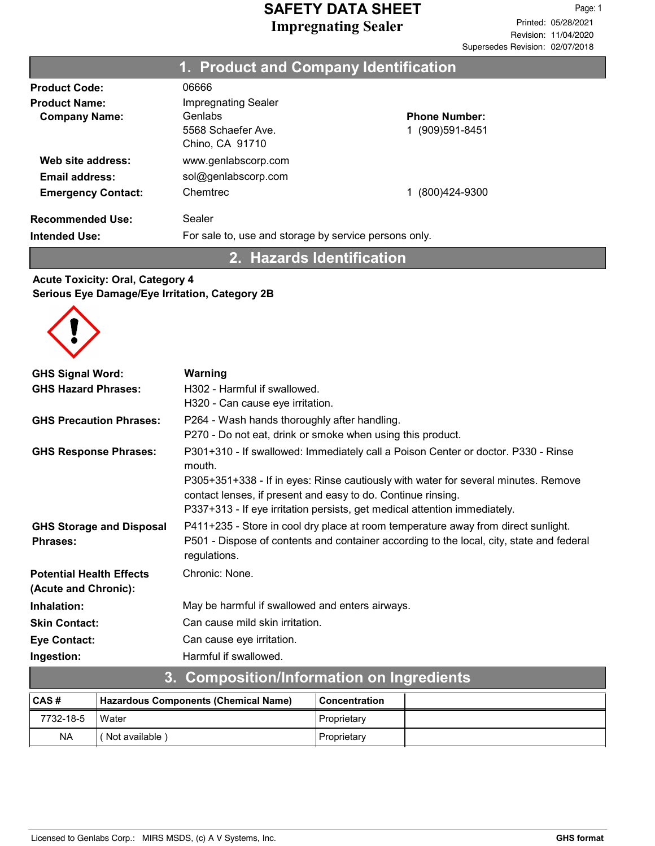### Product Code: 06666 **Product Name:** Impregnating Sealer Company Name: Genlabs 5568 Schaefer Ave. Chino, CA 91710 Emergency Contact: Chemtrec 1 (800)424-9300 Phone Number: 1 (909)591-8451 Recommended Use: Sealer Intended Use: For sale to, use and storage by service persons only. Web site address: www.genlabscorp.com 1. Product and Company Identification Email address: sol@genlabscorp.com

2. Hazards Identification

## Acute Toxicity: Oral, Category 4 Serious Eye Damage/Eye Irritation, Category 2B



| 2                                                       | Composition/Information on Ingradiants                                                                                                                                                                                          |
|---------------------------------------------------------|---------------------------------------------------------------------------------------------------------------------------------------------------------------------------------------------------------------------------------|
| Ingestion:                                              | Harmful if swallowed.                                                                                                                                                                                                           |
| <b>Eye Contact:</b>                                     | Can cause eye irritation.                                                                                                                                                                                                       |
| <b>Skin Contact:</b>                                    | Can cause mild skin irritation.                                                                                                                                                                                                 |
| Inhalation:                                             | May be harmful if swallowed and enters airways.                                                                                                                                                                                 |
| <b>Potential Health Effects</b><br>(Acute and Chronic): | Chronic: None.                                                                                                                                                                                                                  |
| <b>GHS Storage and Disposal</b><br><b>Phrases:</b>      | P411+235 - Store in cool dry place at room temperature away from direct sunlight.<br>P501 - Dispose of contents and container according to the local, city, state and federal<br>regulations.                                   |
|                                                         | P305+351+338 - If in eyes: Rinse cautiously with water for several minutes. Remove<br>contact lenses, if present and easy to do. Continue rinsing.<br>P337+313 - If eye irritation persists, get medical attention immediately. |
| <b>GHS Response Phrases:</b>                            | P301+310 - If swallowed: Immediately call a Poison Center or doctor. P330 - Rinse<br>mouth.                                                                                                                                     |
| <b>GHS Precaution Phrases:</b>                          | P264 - Wash hands thoroughly after handling.<br>P270 - Do not eat, drink or smoke when using this product.                                                                                                                      |
| <b>GHS Hazard Phrases:</b>                              | H302 - Harmful if swallowed.<br>H320 - Can cause eye irritation.                                                                                                                                                                |
| <b>GHS Signal Word:</b>                                 | Warning                                                                                                                                                                                                                         |

| <b>U. COMPOSITION INTO MIGHEM ON MIGHTS</b> |                                      |                      |  |
|---------------------------------------------|--------------------------------------|----------------------|--|
| CAS#                                        | Hazardous Components (Chemical Name) | <b>Concentration</b> |  |
| 7732-18-5                                   | Water                                | Proprietary          |  |
| <b>NA</b>                                   | Not available)                       | Proprietary          |  |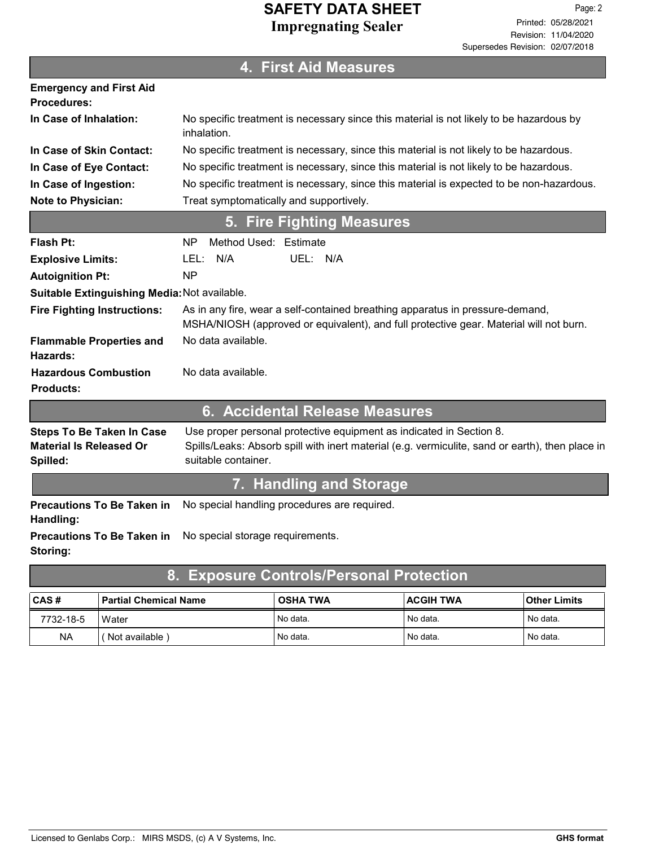| <b>4. First Aid Measures</b>                                       |                                                                                                                                                                         |  |
|--------------------------------------------------------------------|-------------------------------------------------------------------------------------------------------------------------------------------------------------------------|--|
| <b>Emergency and First Aid</b><br>Procedures:                      |                                                                                                                                                                         |  |
| In Case of Inhalation:                                             | No specific treatment is necessary since this material is not likely to be hazardous by<br>inhalation.                                                                  |  |
| In Case of Skin Contact:                                           | No specific treatment is necessary, since this material is not likely to be hazardous.                                                                                  |  |
| In Case of Eye Contact:                                            | No specific treatment is necessary, since this material is not likely to be hazardous.                                                                                  |  |
| In Case of Ingestion:                                              | No specific treatment is necessary, since this material is expected to be non-hazardous.                                                                                |  |
| Note to Physician:                                                 | Treat symptomatically and supportively.                                                                                                                                 |  |
|                                                                    | <b>Fire Fighting Measures</b><br>5.                                                                                                                                     |  |
| Flash Pt:                                                          | Method Used: Estimate<br>NP.                                                                                                                                            |  |
| <b>Explosive Limits:</b>                                           | N/A<br>UEL: N/A<br>LEL:                                                                                                                                                 |  |
| <b>Autoignition Pt:</b>                                            | <b>NP</b>                                                                                                                                                               |  |
| Suitable Extinguishing Media: Not available.                       |                                                                                                                                                                         |  |
| <b>Fire Fighting Instructions:</b>                                 | As in any fire, wear a self-contained breathing apparatus in pressure-demand,<br>MSHA/NIOSH (approved or equivalent), and full protective gear. Material will not burn. |  |
| <b>Flammable Properties and</b><br>Hazards:                        | No data available.                                                                                                                                                      |  |
| <b>Hazardous Combustion</b>                                        | No data available.                                                                                                                                                      |  |
| <b>Products:</b>                                                   |                                                                                                                                                                         |  |
|                                                                    | 6. Accidental Release Measures                                                                                                                                          |  |
| <b>Steps To Be Taken In Case</b><br><b>Material Is Released Or</b> | Use proper personal protective equipment as indicated in Section 8.<br>Spills/Leaks: Absorb spill with inert material (e.g. vermiculite, sand or earth), then place in  |  |
| Spilled:                                                           | suitable container.                                                                                                                                                     |  |
|                                                                    | 7. Handling and Storage                                                                                                                                                 |  |
| <b>Precautions To Be Taken in</b><br>Handling:                     | No special handling procedures are required.                                                                                                                            |  |
| <b>Precautions To Be Taken in</b><br>Storing:                      | No special storage requirements.                                                                                                                                        |  |
| 8.                                                                 | <b>Exposure Controls/Personal Protection</b>                                                                                                                            |  |

| ∣CAS #    | l Partial Chemical Name | <b>OSHA TWA</b>       | <b>ACGIH TWA</b> | Other Limits |
|-----------|-------------------------|-----------------------|------------------|--------------|
| 7732-18-5 | Water                   | <sup>1</sup> No data. | l No data.       | No data.     |
| <b>NA</b> | Not available           | <sup>1</sup> No data. | l No data.       | No data.     |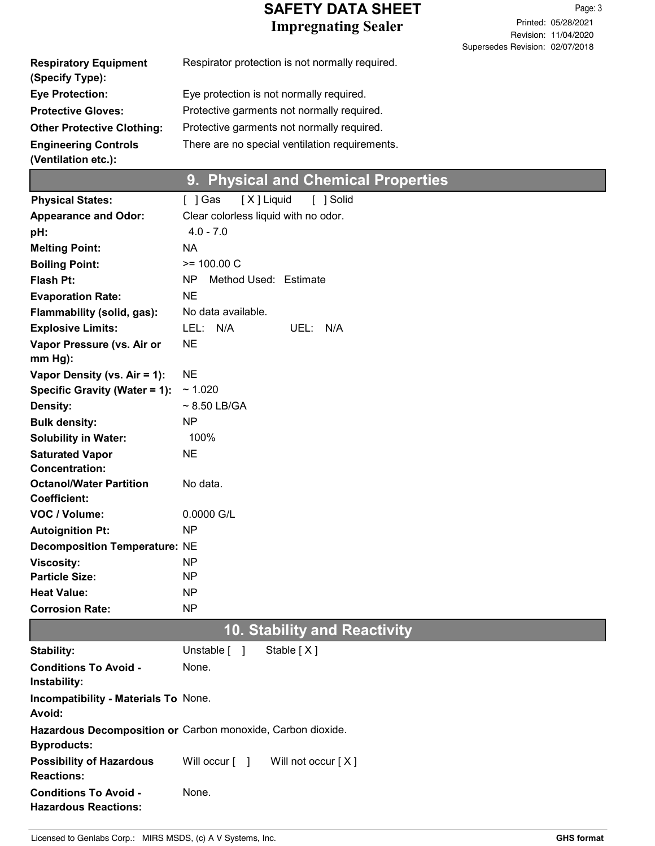Revision: 11/04/2020 Printed: 05/28/2021 Page: 3 Supersedes Revision: 02/07/2018

| <b>Respiratory Equipment</b><br>(Specify Type):    | Respirator protection is not normally required. |
|----------------------------------------------------|-------------------------------------------------|
| <b>Eye Protection:</b>                             | Eye protection is not normally required.        |
| <b>Protective Gloves:</b>                          | Protective garments not normally required.      |
| <b>Other Protective Clothing:</b>                  | Protective garments not normally required.      |
| <b>Engineering Controls</b><br>(Ventilation etc.): | There are no special ventilation requirements.  |

# 9. Physical and Chemical Properties

| <b>Physical States:</b>                                       | [X] Liquid<br>[ ] Solid<br>[ ] Gas                          |
|---------------------------------------------------------------|-------------------------------------------------------------|
| <b>Appearance and Odor:</b>                                   | Clear colorless liquid with no odor.                        |
| pH:                                                           | $4.0 - 7.0$                                                 |
| <b>Melting Point:</b>                                         | <b>NA</b>                                                   |
| <b>Boiling Point:</b>                                         | $>= 100.00 C$                                               |
| <b>Flash Pt:</b>                                              | Method Used: Estimate<br>NP.                                |
| <b>Evaporation Rate:</b>                                      | <b>NE</b>                                                   |
| Flammability (solid, gas):                                    | No data available.                                          |
| <b>Explosive Limits:</b>                                      | LEL: N/A<br>UEL:<br>N/A                                     |
| Vapor Pressure (vs. Air or                                    | <b>NE</b>                                                   |
| $mm Hg$ ):                                                    | <b>NE</b>                                                   |
| Vapor Density (vs. Air = 1):<br>Specific Gravity (Water = 1): | ~1.020                                                      |
| <b>Density:</b>                                               | $\sim$ 8.50 LB/GA                                           |
| <b>Bulk density:</b>                                          | <b>NP</b>                                                   |
| <b>Solubility in Water:</b>                                   | 100%                                                        |
| <b>Saturated Vapor</b>                                        | <b>NE</b>                                                   |
| <b>Concentration:</b>                                         |                                                             |
| <b>Octanol/Water Partition</b>                                | No data.                                                    |
| <b>Coefficient:</b>                                           |                                                             |
| VOC / Volume:                                                 | 0.0000 G/L                                                  |
| <b>Autoignition Pt:</b>                                       | NP                                                          |
| <b>Decomposition Temperature: NE</b>                          |                                                             |
| <b>Viscosity:</b>                                             | NP.                                                         |
| <b>Particle Size:</b>                                         | NP                                                          |
| <b>Heat Value:</b>                                            | NP                                                          |
| <b>Corrosion Rate:</b>                                        | NP                                                          |
|                                                               | <b>10. Stability and Reactivity</b>                         |
| Stability:                                                    | Unstable [ ]<br>Stable [X]                                  |
| <b>Conditions To Avoid -</b><br>Instability:                  | None.                                                       |
| Incompatibility - Materials To None.                          |                                                             |
| Avoid:                                                        |                                                             |
| <b>Byproducts:</b>                                            | Hazardous Decomposition or Carbon monoxide, Carbon dioxide. |
| <b>Possibility of Hazardous</b><br><b>Reactions:</b>          | Will occur $\lceil \quad \rceil$<br>Will not occur [X]      |
| <b>Conditions To Avoid -</b><br><b>Hazardous Reactions:</b>   | None.                                                       |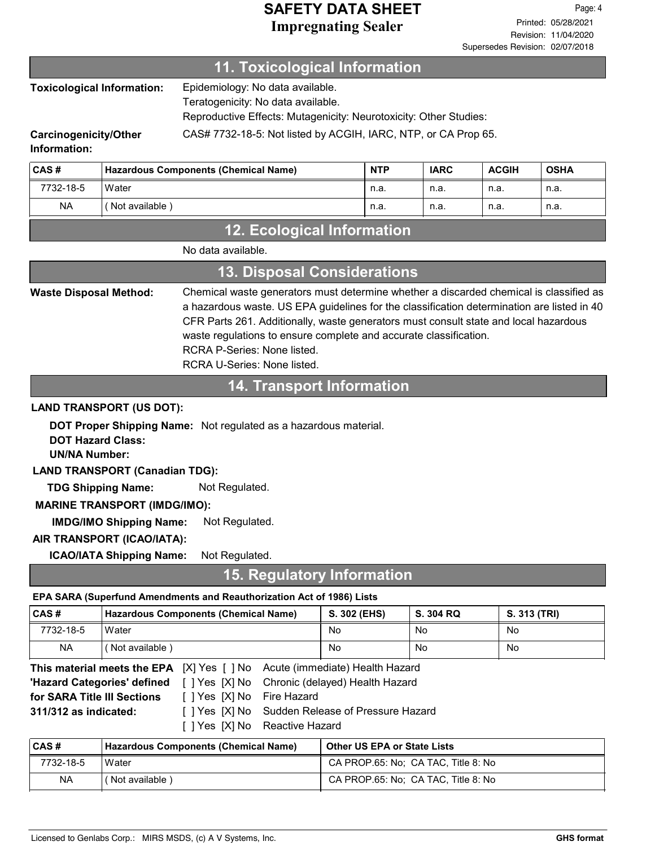### 11. Toxicological Information

Epidemiology: No data available. Toxicological Information:

Teratogenicity: No data available.

Reproductive Effects: Mutagenicity: Neurotoxicity: Other Studies:

Carcinogenicity/Other CAS# 7732-18-5: Not listed by ACGIH, IARC, NTP, or CA Prop 65.

Information:

| CAS#      | <b>Hazardous Components (Chemical Name)</b> | <b>NTP</b> | <b>IARC</b> | <b>ACGIH</b> | <b>OSHA</b> |
|-----------|---------------------------------------------|------------|-------------|--------------|-------------|
| 7732-18-5 | l Water                                     | n.a.       | n.a.        | n.a.         | n.a.        |
| <b>NA</b> | Not available)                              | n.a.       | n.a.        | n.a.         | n.a.        |

## 12. Ecological Information

| <b>13. Disposal Considerations</b> |                                                                                                                                                                                                                                                                                                                                                                                                                 |  |
|------------------------------------|-----------------------------------------------------------------------------------------------------------------------------------------------------------------------------------------------------------------------------------------------------------------------------------------------------------------------------------------------------------------------------------------------------------------|--|
| <b>Waste Disposal Method:</b>      | Chemical waste generators must determine whether a discarded chemical is classified as<br>a hazardous waste. US EPA guidelines for the classification determination are listed in 40<br>CFR Parts 261. Additionally, waste generators must consult state and local hazardous<br>waste regulations to ensure complete and accurate classification.<br>RCRA P-Series: None listed.<br>RCRA U-Series: None listed. |  |

## 14. Transport Information

### LAND TRANSPORT (US DOT):

DOT Proper Shipping Name: Not regulated as a hazardous material.

DOT Hazard Class:

UN/NA Number:

LAND TRANSPORT (Canadian TDG):

TDG Shipping Name: Not Regulated.

### MARINE TRANSPORT (IMDG/IMO):

IMDG/IMO Shipping Name: Not Regulated.

### AIR TRANSPORT (ICAO/IATA):

ICAO/IATA Shipping Name: Not Regulated.

## 15. Regulatory Information

### EPA SARA (Superfund Amendments and Reauthorization Act of 1986) Lists

| CAS#                                                                     | <b>Hazardous Components (Chemical Name)</b> | S. 302 (EHS) | S. 304 RQ | S. 313 (TRI) |
|--------------------------------------------------------------------------|---------------------------------------------|--------------|-----------|--------------|
| 7732-18-5                                                                | Water                                       | No           | No        | No           |
| <b>NA</b>                                                                | (Not available )                            | No           | No        | No           |
| This control of the FBA IVIVes LINE . As the (impressible) Lealth Lemand |                                             |              |           |              |

|                             |                            | <b>This material meets the EPA</b> [X] Yes [ ] No Acute (immediate) Health Hazard |
|-----------------------------|----------------------------|-----------------------------------------------------------------------------------|
|                             |                            | "Hazard Categories' defined [] Yes [X] No Chronic (delayed) Health Hazard         |
| for SARA Title III Sections | [ ] Yes [X] No Fire Hazard |                                                                                   |
| 311/312 as indicated:       |                            | [ ] Yes [X] No Sudden Release of Pressure Hazard                                  |
|                             |                            | [ ] Yes [X] No Reactive Hazard                                                    |

| <b>CAS#</b> | <b>Hazardous Components (Chemical Name)</b> | <b>Other US EPA or State Lists</b>  |
|-------------|---------------------------------------------|-------------------------------------|
| 7732-18-5   | Water                                       | CA PROP.65: No: CA TAC. Title 8: No |
| <b>NA</b>   | ' Not available )                           | CA PROP.65: No: CA TAC, Title 8: No |